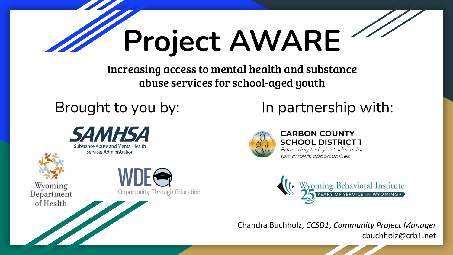# **Project AWARE**

Increasing access to mental health and substance abuse services for school-aged youth



### Brought to you by: In partnership with:



#### **CARBON COUNTY SCHOOL DISTRICT 1**

Educating today's students for tomorrow's opportunities.



Chandra Buchholz, *CCSD1*, *Community Project Manager* cbuchholz@crb1.net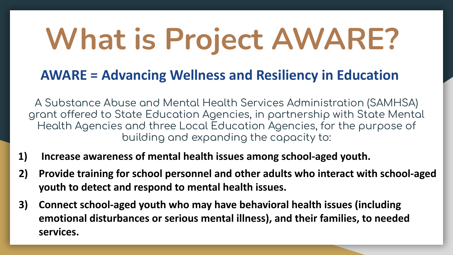## **What is Project AWARE?**

#### **AWARE = Advancing Wellness and Resiliency in Education**

A Substance Abuse and Mental Health Services Administration (SAMHSA) grant offered to State Education Agencies, in partnership with State Mental Health Agencies and three Local Education Agencies, for the purpose of building and expanding the capacity to:

- $1)$ Increase awareness of mental health issues among school-aged youth.
- $2)$ Provide training for school personnel and other adults who interact with school-aged youth to detect and respond to mental health issues.
- 3) Connect school-aged youth who may have behavioral health issues (including emotional disturbances or serious mental illness), and their families, to needed services.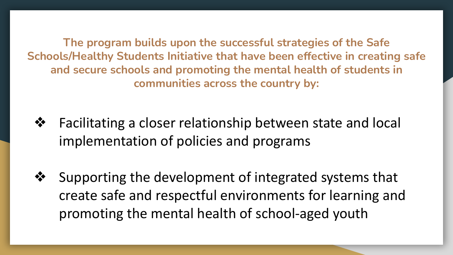**The program builds upon the successful strategies of the Safe Schools/Healthy Students Initiative that have been effective in creating safe and secure schools and promoting the mental health of students in communities across the country by:**

- ❖ Facilitating a closer relationship between state and local implementation of policies and programs
- ❖ Supporting the development of integrated systems that create safe and respectful environments for learning and promoting the mental health of school-aged youth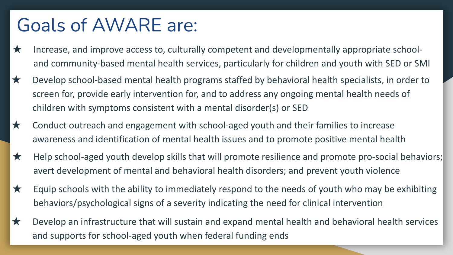## Goals of AWARE are:

- $\star$  Increase, and improve access to, culturally competent and developmentally appropriate schooland community-based mental health services, particularly for children and youth with SED or SMI
- $\star$  Develop school-based mental health programs staffed by behavioral health specialists, in order to screen for, provide early intervention for, and to address any ongoing mental health needs of children with symptoms consistent with a mental disorder(s) or SED
- $\star$  Conduct outreach and engagement with school-aged youth and their families to increase awareness and identification of mental health issues and to promote positive mental health
- ★ Help school-aged youth develop skills that will promote resilience and promote pro-social behaviors; avert development of mental and behavioral health disorders; and prevent youth violence
- $\star$  Equip schools with the ability to immediately respond to the needs of youth who may be exhibiting behaviors/psychological signs of a severity indicating the need for clinical intervention
- $\star$  Develop an infrastructure that will sustain and expand mental health and behavioral health services and supports for school-aged youth when federal funding ends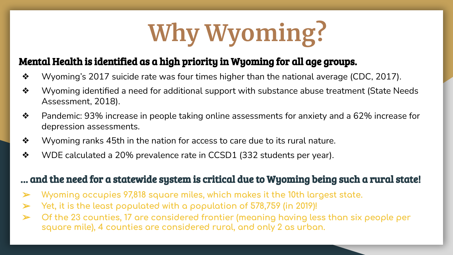## **Why Wyoming?**

#### Mental Health is identified as a high priority in Wyoming for all age groups.

- ❖ Wyoming's 2017 suicide rate was four times higher than the national average (CDC, 2017).
- $\bullet$ Wyoming identified a need for additional support with substance abuse treatment (State Needs Assessment, 2018).
- $\bullet$ Pandemic: 93% increase in people taking online assessments for anxiety and a 62% increase for depression assessments.
- ❖ Wyoming ranks 45th in the nation for access to care due to its rural nature.
- ❖ WDE calculated a 20% prevalence rate in CCSD1 (332 students per year).

#### ... and the need for a statewide system is critical due to Wyoming being such a rural state!

- Wyoming occupies 97,818 square miles, which makes it the 10th largest state.
- Yet, it is the least populated with a population of 578,759 (in 2019)!  $\blacktriangleright$
- Of the 23 counties, 17 are considered frontier (meaning having less than six people per  $\blacktriangleright$ square mile), 4 counties are considered rural, and only 2 as urban.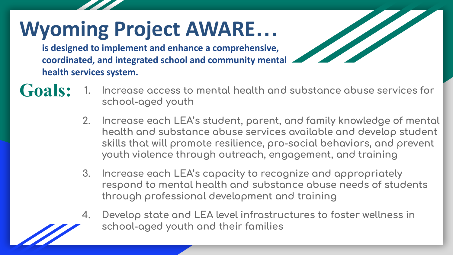## **Wyoming Project AWARE...**

is designed to implement and enhance a comprehensive, coordinated, and integrated school and community mental health services system.

- Increase access to mental health and substance abuse services for school-aged youth
	- $2.$ Increase each LEA's student, parent, and family knowledge of mental health and substance abuse services available and develop student skills that will promote resilience, pro-social behaviors, and prevent youth violence through outreach, engagement, and training
	- $3<sub>1</sub>$ Increase each LEA's capacity to recognize and appropriately respond to mental health and substance abuse needs of students through professional development and training
	- Develop state and LEA level infrastructures to foster wellness in 4. school-aged youth and their families



**Goals:**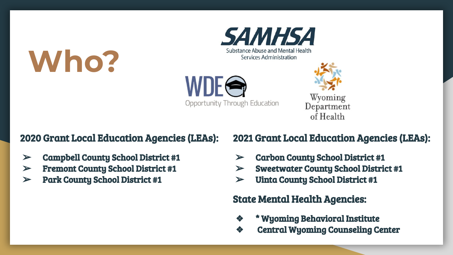## **Who?**



Substance Abuse and Mental Health Services Administration

Opportunity Through Education



#### 2020 Grant Local Education Agencies (LEAs):

- $\triangleright$  Campbell County School District #1
- ➢ Fremont County School District #1
- ➢ Park County School District #1

#### 2021 Grant Local Education Agencies (LEAs):

- ➢ Carbon County School District #1
- ➢ Sweetwater County School District #1
- ➢ Uinta County School District #1

#### State Mental Health Agencies:

- ❖ \* Wyoming Behavioral Institute
- ❖ Central Wyoming Counseling Center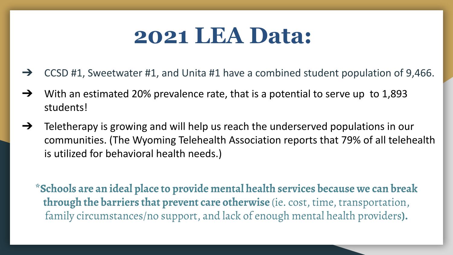## **2021 LEA Data:**

- $\rightarrow$  CCSD #1, Sweetwater #1, and Unita #1 have a combined student population of 9,466.
- $\rightarrow$  With an estimated 20% prevalence rate, that is a potential to serve up to 1,893 students!
- $\rightarrow$  Teletherapy is growing and will help us reach the underserved populations in our communities. (The Wyoming Telehealth Association reports that 79% of all telehealth is utilized for behavioral health needs.)
	- **\*Schools are an ideal place to provide mental health services because we can break through the barriers that prevent care otherwise** (ie. cost, time, transportation, family circumstances/no support, and lack of enough mental health providers**).**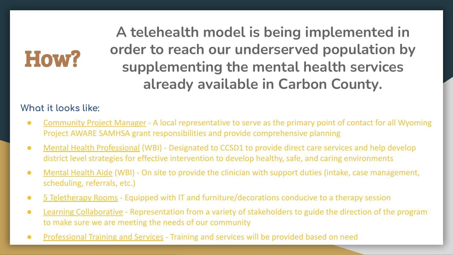## How?

**A telehealth model is being implemented in order to reach our underserved population by supplementing the mental health services already available in Carbon County.**

#### **What it looks like:**

- Community Project Manager A local representative to serve as the primary point of contact for all Wyoming Project AWARE SAMHSA grant responsibilities and provide comprehensive planning
- Mental Health Professional (WBI) Designated to CCSD1 to provide direct care services and help develop district level strategies for effective intervention to develop healthy, safe, and caring environments
- Mental Health Aide (WBI) On site to provide the clinician with support duties (intake, case management, scheduling, referrals, etc.)
- 5 Teletherapy Rooms Equipped with IT and furniture/decorations conducive to a therapy session
- Learning Collaborative Representation from a variety of stakeholders to guide the direction of the program to make sure we are meeting the needs of our community
- Professional Training and Services Training and services will be provided based on need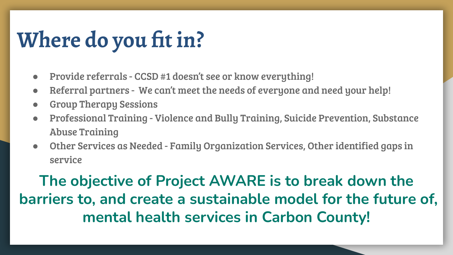## **Where do you fit in?**

- Provide referrals CCSD #1 doesn't see or know everything!
- Referral partners We can't meet the needs of everyone and need your help!
- Group Therapy Sessions
- Professional Training Violence and Bully Training, Suicide Prevention, Substance Abuse Training
- Other Services as Needed Family Organization Services, Other identified gaps in service

**The objective of Project AWARE is to break down the barriers to, and create a sustainable model for the future of, mental health services in Carbon County!**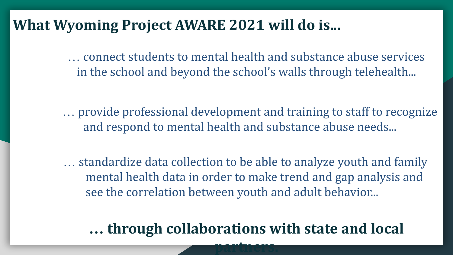#### **What Wyoming Project AWARE 2021 will do is...**

… connect students to mental health and substance abuse services in the school and beyond the school's walls through telehealth...

… provide professional development and training to staff to recognize and respond to mental health and substance abuse needs...

… standardize data collection to be able to analyze youth and family mental health data in order to make trend and gap analysis and see the correlation between youth and adult behavior...

### **… through collaborations with state and local**